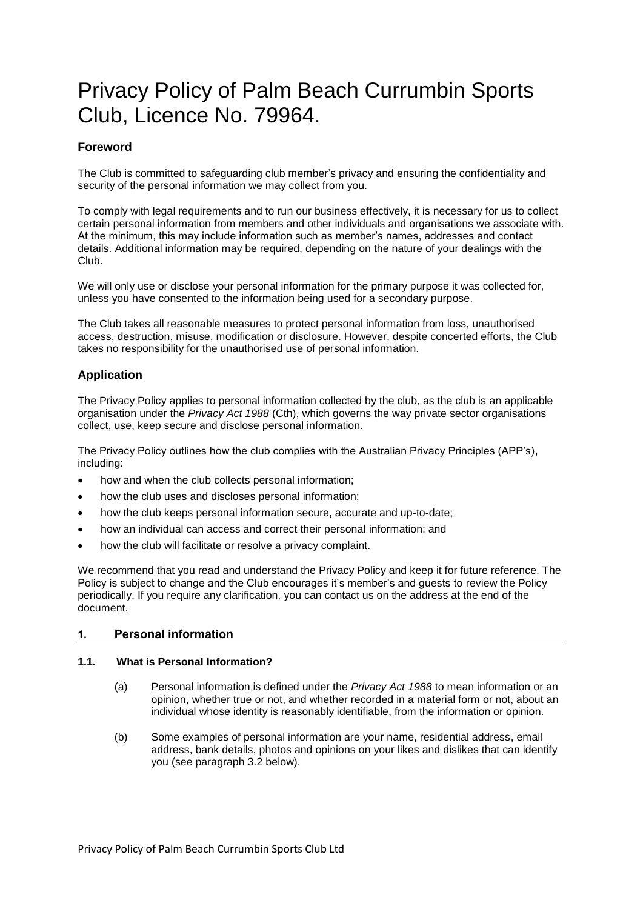# Privacy Policy of Palm Beach Currumbin Sports Club, Licence No. 79964.

## **Foreword**

The Club is committed to safeguarding club member's privacy and ensuring the confidentiality and security of the personal information we may collect from you.

To comply with legal requirements and to run our business effectively, it is necessary for us to collect certain personal information from members and other individuals and organisations we associate with. At the minimum, this may include information such as member's names, addresses and contact details. Additional information may be required, depending on the nature of your dealings with the Club.

We will only use or disclose your personal information for the primary purpose it was collected for, unless you have consented to the information being used for a secondary purpose.

The Club takes all reasonable measures to protect personal information from loss, unauthorised access, destruction, misuse, modification or disclosure. However, despite concerted efforts, the Club takes no responsibility for the unauthorised use of personal information.

## **Application**

The Privacy Policy applies to personal information collected by the club, as the club is an applicable organisation under the *Privacy Act 1988* (Cth), which governs the way private sector organisations collect, use, keep secure and disclose personal information.

The Privacy Policy outlines how the club complies with the Australian Privacy Principles (APP's), including:

- how and when the club collects personal information;
- how the club uses and discloses personal information;
- how the club keeps personal information secure, accurate and up-to-date;
- how an individual can access and correct their personal information; and
- how the club will facilitate or resolve a privacy complaint.

We recommend that you read and understand the Privacy Policy and keep it for future reference. The Policy is subject to change and the Club encourages it's member's and guests to review the Policy periodically. If you require any clarification, you can contact us on the address at the end of the document.

## **1. Personal information**

#### **1.1. What is Personal Information?**

- (a) Personal information is defined under the *Privacy Act 1988* to mean information or an opinion, whether true or not, and whether recorded in a material form or not, about an individual whose identity is reasonably identifiable, from the information or opinion.
- (b) Some examples of personal information are your name, residential address, email address, bank details, photos and opinions on your likes and dislikes that can identify you (see paragraph 3.2 below).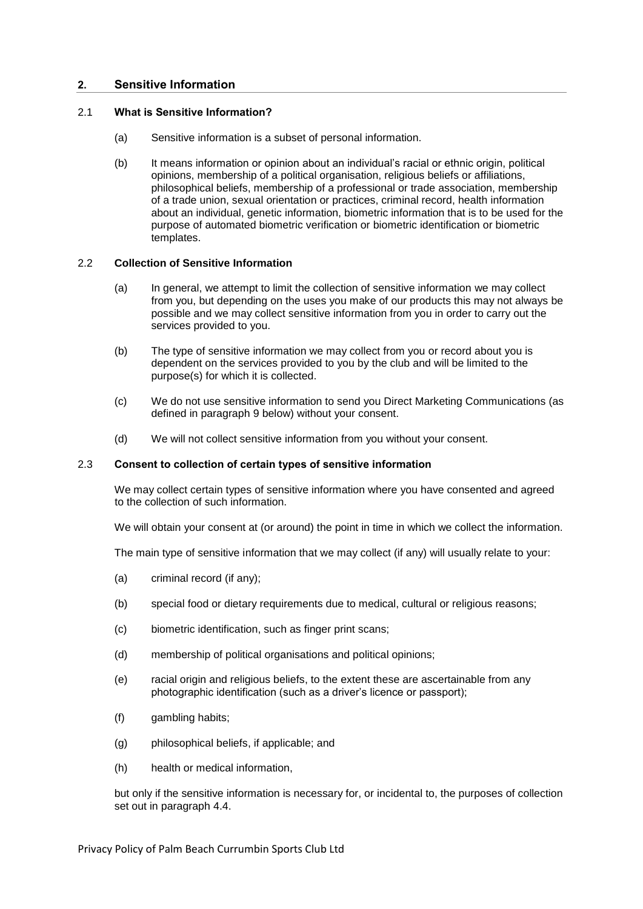## **2. Sensitive Information**

#### 2.1 **What is Sensitive Information?**

- (a) Sensitive information is a subset of personal information.
- (b) It means information or opinion about an individual's racial or ethnic origin, political opinions, membership of a political organisation, religious beliefs or affiliations, philosophical beliefs, membership of a professional or trade association, membership of a trade union, sexual orientation or practices, criminal record, health information about an individual, genetic information, biometric information that is to be used for the purpose of automated biometric verification or biometric identification or biometric templates.

#### 2.2 **Collection of Sensitive Information**

- (a) In general, we attempt to limit the collection of sensitive information we may collect from you, but depending on the uses you make of our products this may not always be possible and we may collect sensitive information from you in order to carry out the services provided to you.
- (b) The type of sensitive information we may collect from you or record about you is dependent on the services provided to you by the club and will be limited to the purpose(s) for which it is collected.
- (c) We do not use sensitive information to send you Direct Marketing Communications (as defined in paragraph [9](#page-6-0) below) without your consent.
- (d) We will not collect sensitive information from you without your consent.

#### <span id="page-1-0"></span>2.3 **Consent to collection of certain types of sensitive information**

We may collect certain types of sensitive information where you have consented and agreed to the collection of such information.

We will obtain your consent at (or around) the point in time in which we collect the information.

The main type of sensitive information that we may collect (if any) will usually relate to your:

- (a) criminal record (if any);
- (b) special food or dietary requirements due to medical, cultural or religious reasons;
- (c) biometric identification, such as finger print scans;
- (d) membership of political organisations and political opinions;
- (e) racial origin and religious beliefs, to the extent these are ascertainable from any photographic identification (such as a driver's licence or passport);
- (f) gambling habits;
- (g) philosophical beliefs, if applicable; and
- (h) health or medical information,

but only if the sensitive information is necessary for, or incidental to, the purposes of collection set out in paragraph [4.4.](#page-3-0)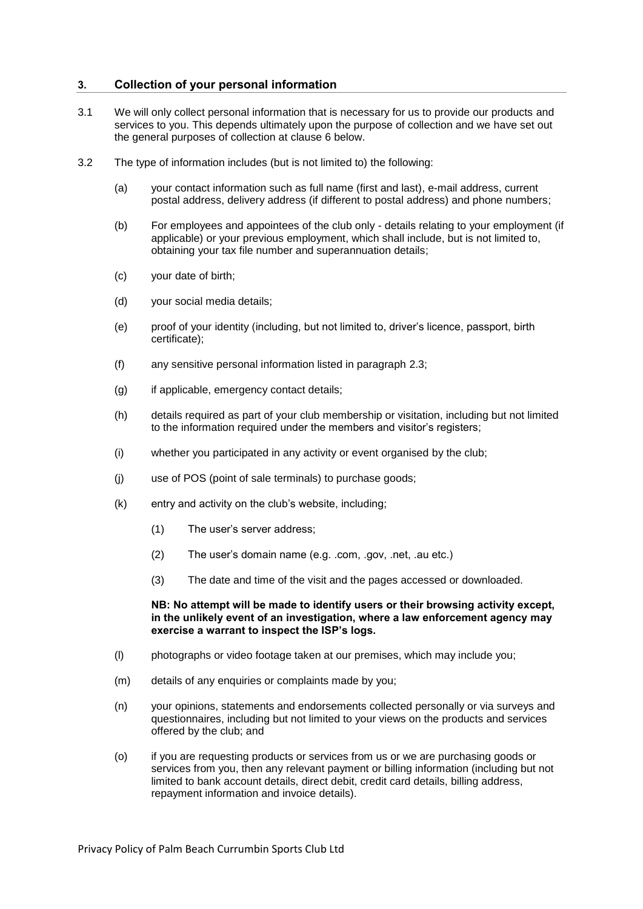#### **3. Collection of your personal information**

- <span id="page-2-0"></span>3.1 We will only collect personal information that is necessary for us to provide our products and services to you. This depends ultimately upon the purpose of collection and we have set out the general purposes of collection at clause 6 below.
- 3.2 The type of information includes (but is not limited to) the following:
	- (a) your contact information such as full name (first and last), e-mail address, current postal address, delivery address (if different to postal address) and phone numbers;
	- (b) For employees and appointees of the club only details relating to your employment (if applicable) or your previous employment, which shall include, but is not limited to, obtaining your tax file number and superannuation details;
	- (c) your date of birth;
	- (d) your social media details;
	- (e) proof of your identity (including, but not limited to, driver's licence, passport, birth certificate);
	- (f) any sensitive personal information listed in paragraph [2.3;](#page-1-0)
	- (g) if applicable, emergency contact details;
	- (h) details required as part of your club membership or visitation, including but not limited to the information required under the members and visitor's registers;
	- (i) whether you participated in any activity or event organised by the club;
	- (j) use of POS (point of sale terminals) to purchase goods;
	- (k) entry and activity on the club's website, including;
		- (1) The user's server address;
		- (2) The user's domain name (e.g. .com, .gov, .net, .au etc.)
		- (3) The date and time of the visit and the pages accessed or downloaded.

**NB: No attempt will be made to identify users or their browsing activity except, in the unlikely event of an investigation, where a law enforcement agency may exercise a warrant to inspect the ISP's logs.** 

- <span id="page-2-1"></span>(l) photographs or video footage taken at our premises, which may include you;
- (m) details of any enquiries or complaints made by you;
- (n) your opinions, statements and endorsements collected personally or via surveys and questionnaires, including but not limited to your views on the products and services offered by the club; and
- (o) if you are requesting products or services from us or we are purchasing goods or services from you, then any relevant payment or billing information (including but not limited to bank account details, direct debit, credit card details, billing address, repayment information and invoice details).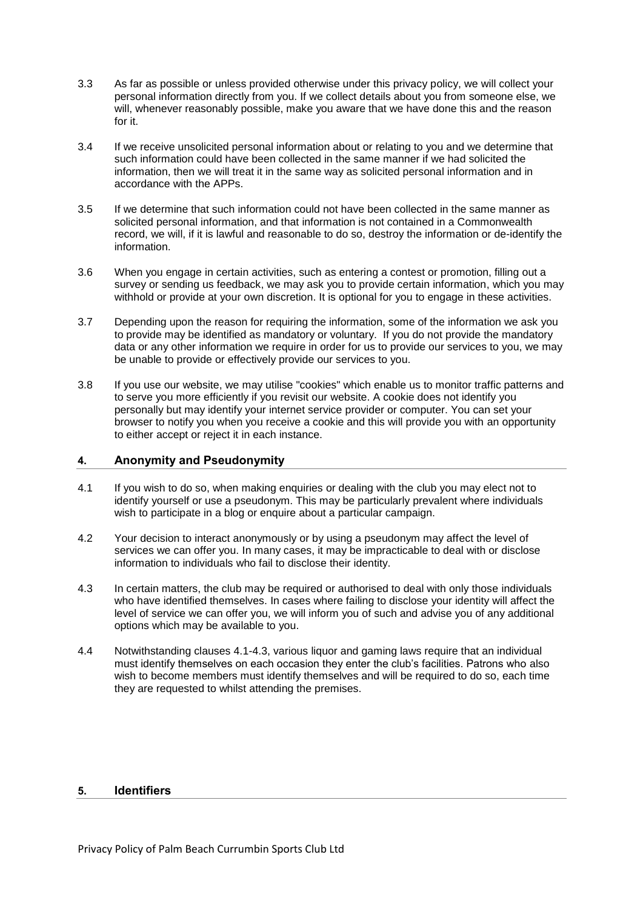- 3.3 As far as possible or unless provided otherwise under this privacy policy, we will collect your personal information directly from you. If we collect details about you from someone else, we will, whenever reasonably possible, make you aware that we have done this and the reason for it.
- 3.4 If we receive unsolicited personal information about or relating to you and we determine that such information could have been collected in the same manner if we had solicited the information, then we will treat it in the same way as solicited personal information and in accordance with the APPs.
- 3.5 If we determine that such information could not have been collected in the same manner as solicited personal information, and that information is not contained in a Commonwealth record, we will, if it is lawful and reasonable to do so, destroy the information or de-identify the information.
- 3.6 When you engage in certain activities, such as entering a contest or promotion, filling out a survey or sending us feedback, we may ask you to provide certain information, which you may withhold or provide at your own discretion. It is optional for you to engage in these activities.
- 3.7 Depending upon the reason for requiring the information, some of the information we ask you to provide may be identified as mandatory or voluntary. If you do not provide the mandatory data or any other information we require in order for us to provide our services to you, we may be unable to provide or effectively provide our services to you.
- 3.8 If you use our website, we may utilise "cookies" which enable us to monitor traffic patterns and to serve you more efficiently if you revisit our website. A cookie does not identify you personally but may identify your internet service provider or computer. You can set your browser to notify you when you receive a cookie and this will provide you with an opportunity to either accept or reject it in each instance.

## **4. Anonymity and Pseudonymity**

- 4.1 If you wish to do so, when making enquiries or dealing with the club you may elect not to identify yourself or use a pseudonym. This may be particularly prevalent where individuals wish to participate in a blog or enquire about a particular campaign.
- 4.2 Your decision to interact anonymously or by using a pseudonym may affect the level of services we can offer you. In many cases, it may be impracticable to deal with or disclose information to individuals who fail to disclose their identity.
- 4.3 In certain matters, the club may be required or authorised to deal with only those individuals who have identified themselves. In cases where failing to disclose your identity will affect the level of service we can offer you, we will inform you of such and advise you of any additional options which may be available to you.
- <span id="page-3-0"></span>4.4 Notwithstanding clauses 4.1-4.3, various liquor and gaming laws require that an individual must identify themselves on each occasion they enter the club's facilities. Patrons who also wish to become members must identify themselves and will be required to do so, each time they are requested to whilst attending the premises.

## **5. Identifiers**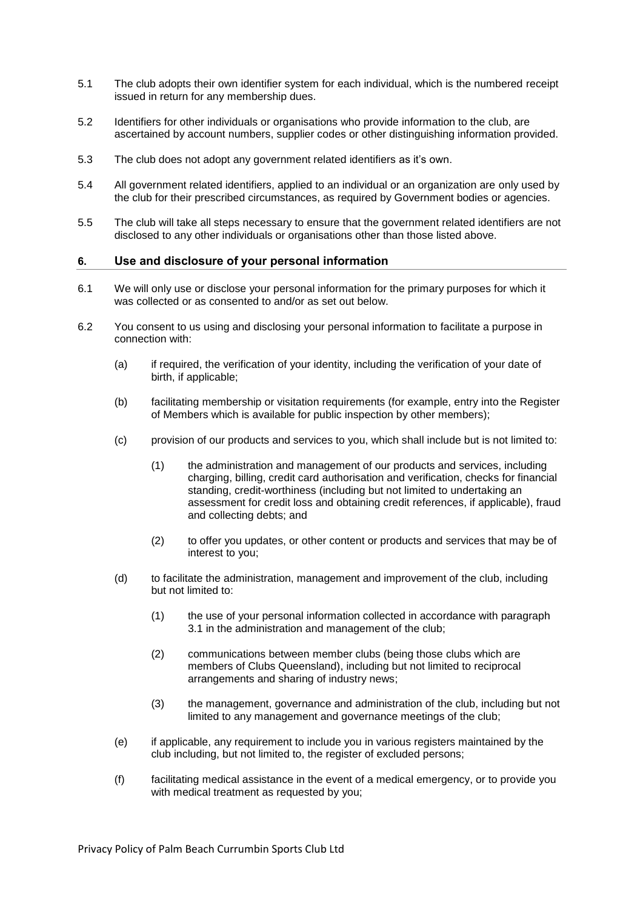- 5.1 The club adopts their own identifier system for each individual, which is the numbered receipt issued in return for any membership dues.
- 5.2 Identifiers for other individuals or organisations who provide information to the club, are ascertained by account numbers, supplier codes or other distinguishing information provided.
- 5.3 The club does not adopt any government related identifiers as it's own.
- 5.4 All government related identifiers, applied to an individual or an organization are only used by the club for their prescribed circumstances, as required by Government bodies or agencies.
- 5.5 The club will take all steps necessary to ensure that the government related identifiers are not disclosed to any other individuals or organisations other than those listed above.

#### **6. Use and disclosure of your personal information**

- <span id="page-4-0"></span>6.1 We will only use or disclose your personal information for the primary purposes for which it was collected or as consented to and/or as set out below.
- <span id="page-4-1"></span>6.2 You consent to us using and disclosing your personal information to facilitate a purpose in connection with:
	- (a) if required, the verification of your identity, including the verification of your date of birth, if applicable;
	- (b) facilitating membership or visitation requirements (for example, entry into the Register of Members which is available for public inspection by other members);
	- (c) provision of our products and services to you, which shall include but is not limited to:
		- (1) the administration and management of our products and services, including charging, billing, credit card authorisation and verification, checks for financial standing, credit-worthiness (including but not limited to undertaking an assessment for credit loss and obtaining credit references, if applicable), fraud and collecting debts; and
		- (2) to offer you updates, or other content or products and services that may be of interest to you;
	- (d) to facilitate the administration, management and improvement of the club, including but not limited to:
		- (1) the use of your personal information collected in accordance with paragraph [3.1](#page-2-0) in the administration and management of the club;
		- (2) communications between member clubs (being those clubs which are members of Clubs Queensland), including but not limited to reciprocal arrangements and sharing of industry news;
		- (3) the management, governance and administration of the club, including but not limited to any management and governance meetings of the club;
	- (e) if applicable, any requirement to include you in various registers maintained by the club including, but not limited to, the register of excluded persons;
	- (f) facilitating medical assistance in the event of a medical emergency, or to provide you with medical treatment as requested by you;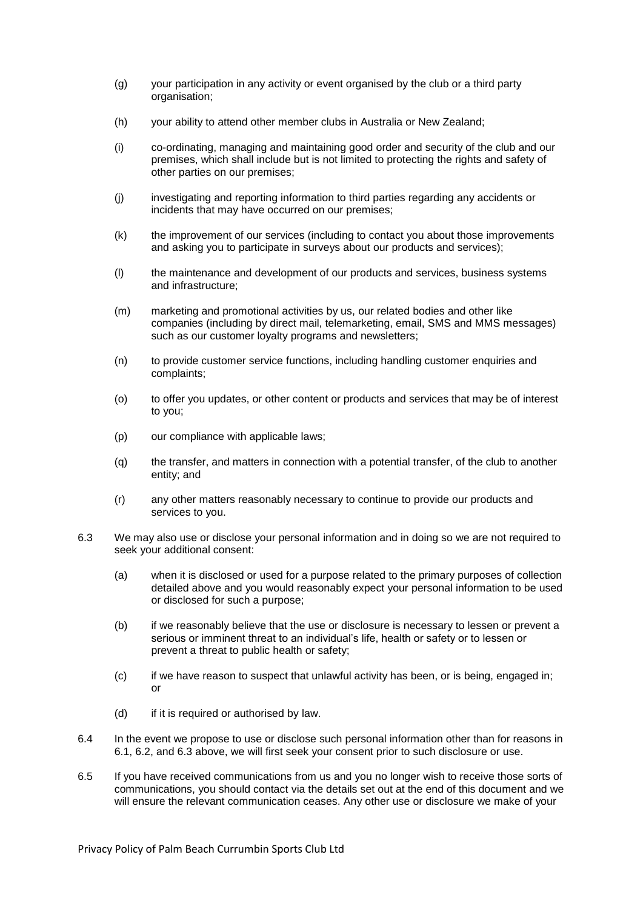- (g) your participation in any activity or event organised by the club or a third party organisation;
- (h) your ability to attend other member clubs in Australia or New Zealand;
- (i) co-ordinating, managing and maintaining good order and security of the club and our premises, which shall include but is not limited to protecting the rights and safety of other parties on our premises;
- (j) investigating and reporting information to third parties regarding any accidents or incidents that may have occurred on our premises;
- (k) the improvement of our services (including to contact you about those improvements and asking you to participate in surveys about our products and services);
- (l) the maintenance and development of our products and services, business systems and infrastructure;
- (m) marketing and promotional activities by us, our related bodies and other like companies (including by direct mail, telemarketing, email, SMS and MMS messages) such as our customer loyalty programs and newsletters;
- (n) to provide customer service functions, including handling customer enquiries and complaints;
- (o) to offer you updates, or other content or products and services that may be of interest to you;
- (p) our compliance with applicable laws;
- (q) the transfer, and matters in connection with a potential transfer, of the club to another entity; and
- (r) any other matters reasonably necessary to continue to provide our products and services to you.
- <span id="page-5-0"></span>6.3 We may also use or disclose your personal information and in doing so we are not required to seek your additional consent:
	- (a) when it is disclosed or used for a purpose related to the primary purposes of collection detailed above and you would reasonably expect your personal information to be used or disclosed for such a purpose;
	- (b) if we reasonably believe that the use or disclosure is necessary to lessen or prevent a serious or imminent threat to an individual's life, health or safety or to lessen or prevent a threat to public health or safety;
	- (c) if we have reason to suspect that unlawful activity has been, or is being, engaged in; or
	- (d) if it is required or authorised by law.
- 6.4 In the event we propose to use or disclose such personal information other than for reasons in [6.1,](#page-4-0) [6.2,](#page-4-1) and [6.3](#page-5-0) above, we will first seek your consent prior to such disclosure or use.
- 6.5 If you have received communications from us and you no longer wish to receive those sorts of communications, you should contact via the details set out at the end of this document and we will ensure the relevant communication ceases. Any other use or disclosure we make of your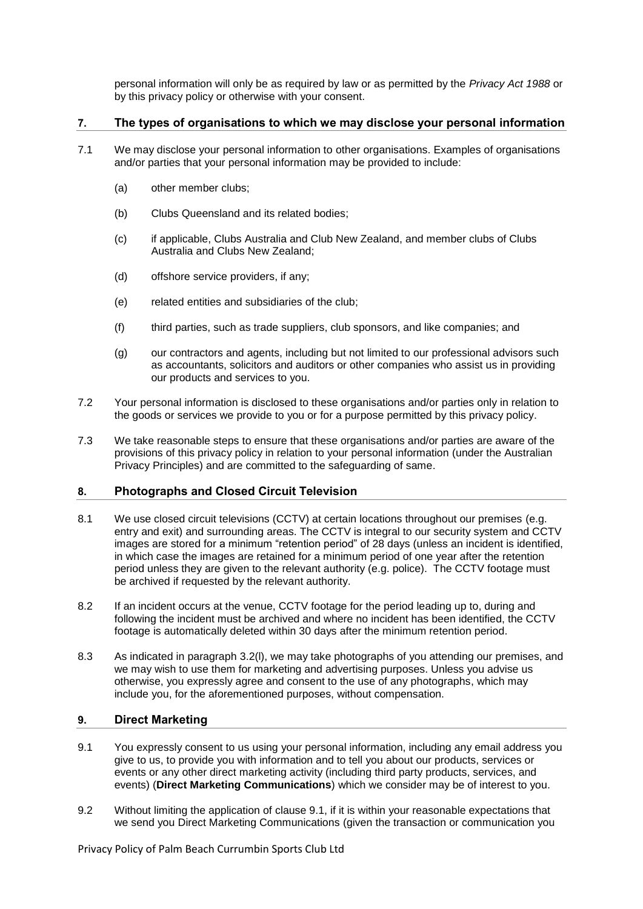personal information will only be as required by law or as permitted by the *Privacy Act 1988* or by this privacy policy or otherwise with your consent.

#### **7. The types of organisations to which we may disclose your personal information**

- <span id="page-6-2"></span>7.1 We may disclose your personal information to other organisations. Examples of organisations and/or parties that your personal information may be provided to include:
	- (a) other member clubs;
	- (b) Clubs Queensland and its related bodies;
	- (c) if applicable, Clubs Australia and Club New Zealand, and member clubs of Clubs Australia and Clubs New Zealand;
	- (d) offshore service providers, if any;
	- (e) related entities and subsidiaries of the club;
	- (f) third parties, such as trade suppliers, club sponsors, and like companies; and
	- (g) our contractors and agents, including but not limited to our professional advisors such as accountants, solicitors and auditors or other companies who assist us in providing our products and services to you.
- 7.2 Your personal information is disclosed to these organisations and/or parties only in relation to the goods or services we provide to you or for a purpose permitted by this privacy policy.
- 7.3 We take reasonable steps to ensure that these organisations and/or parties are aware of the provisions of this privacy policy in relation to your personal information (under the Australian Privacy Principles) and are committed to the safeguarding of same.

## **8. Photographs and Closed Circuit Television**

- 8.1 We use closed circuit televisions (CCTV) at certain locations throughout our premises (e.g. entry and exit) and surrounding areas. The CCTV is integral to our security system and CCTV images are stored for a minimum "retention period" of 28 days (unless an incident is identified, in which case the images are retained for a minimum period of one year after the retention period unless they are given to the relevant authority (e.g. police). The CCTV footage must be archived if requested by the relevant authority.
- 8.2 If an incident occurs at the venue, CCTV footage for the period leading up to, during and following the incident must be archived and where no incident has been identified, the CCTV footage is automatically deleted within 30 days after the minimum retention period.
- 8.3 As indicated in paragraph [3.2\(l\),](#page-2-1) we may take photographs of you attending our premises, and we may wish to use them for marketing and advertising purposes. Unless you advise us otherwise, you expressly agree and consent to the use of any photographs, which may include you, for the aforementioned purposes, without compensation.

## <span id="page-6-0"></span>**9. Direct Marketing**

- <span id="page-6-1"></span>9.1 You expressly consent to us using your personal information, including any email address you give to us, to provide you with information and to tell you about our products, services or events or any other direct marketing activity (including third party products, services, and events) (**Direct Marketing Communications**) which we consider may be of interest to you.
- 9.2 Without limiting the application of clause [9.1,](#page-6-1) if it is within your reasonable expectations that we send you Direct Marketing Communications (given the transaction or communication you

Privacy Policy of Palm Beach Currumbin Sports Club Ltd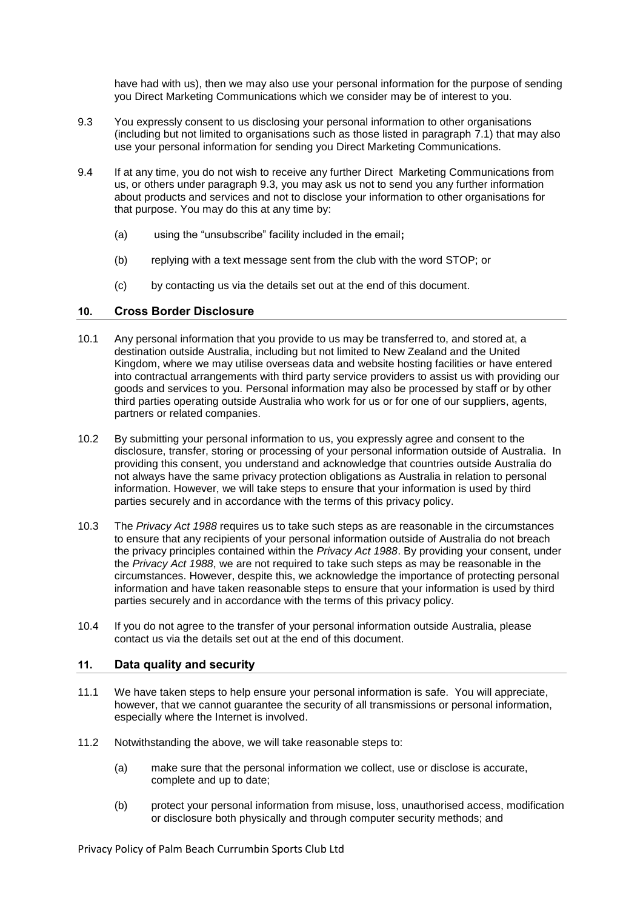have had with us), then we may also use your personal information for the purpose of sending you Direct Marketing Communications which we consider may be of interest to you.

- <span id="page-7-0"></span>9.3 You expressly consent to us disclosing your personal information to other organisations (including but not limited to organisations such as those listed in paragraph [7.1\)](#page-6-2) that may also use your personal information for sending you Direct Marketing Communications.
- 9.4 If at any time, you do not wish to receive any further Direct Marketing Communications from us, or others under paragraph [9.3,](#page-7-0) you may ask us not to send you any further information about products and services and not to disclose your information to other organisations for that purpose. You may do this at any time by:
	- (a) using the "unsubscribe" facility included in the email**;**
	- (b) replying with a text message sent from the club with the word STOP; or
	- (c) by contacting us via the details set out at the end of this document.

## **10. Cross Border Disclosure**

- 10.1 Any personal information that you provide to us may be transferred to, and stored at, a destination outside Australia, including but not limited to New Zealand and the United Kingdom, where we may utilise overseas data and website hosting facilities or have entered into contractual arrangements with third party service providers to assist us with providing our goods and services to you. Personal information may also be processed by staff or by other third parties operating outside Australia who work for us or for one of our suppliers, agents, partners or related companies.
- 10.2 By submitting your personal information to us, you expressly agree and consent to the disclosure, transfer, storing or processing of your personal information outside of Australia. In providing this consent, you understand and acknowledge that countries outside Australia do not always have the same privacy protection obligations as Australia in relation to personal information. However, we will take steps to ensure that your information is used by third parties securely and in accordance with the terms of this privacy policy.
- 10.3 The *Privacy Act 1988* requires us to take such steps as are reasonable in the circumstances to ensure that any recipients of your personal information outside of Australia do not breach the privacy principles contained within the *Privacy Act 1988*. By providing your consent, under the *Privacy Act 1988*, we are not required to take such steps as may be reasonable in the circumstances. However, despite this, we acknowledge the importance of protecting personal information and have taken reasonable steps to ensure that your information is used by third parties securely and in accordance with the terms of this privacy policy.
- 10.4 If you do not agree to the transfer of your personal information outside Australia, please contact us via the details set out at the end of this document.

## **11. Data quality and security**

- 11.1 We have taken steps to help ensure your personal information is safe. You will appreciate, however, that we cannot guarantee the security of all transmissions or personal information, especially where the Internet is involved.
- 11.2 Notwithstanding the above, we will take reasonable steps to:
	- (a) make sure that the personal information we collect, use or disclose is accurate, complete and up to date;
	- (b) protect your personal information from misuse, loss, unauthorised access, modification or disclosure both physically and through computer security methods; and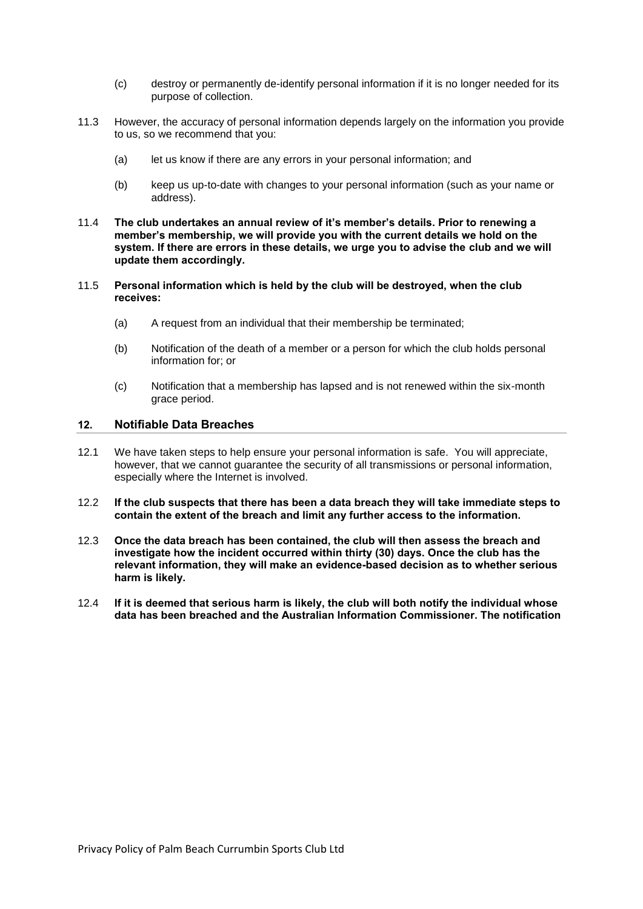- (c) destroy or permanently de-identify personal information if it is no longer needed for its purpose of collection.
- 11.3 However, the accuracy of personal information depends largely on the information you provide to us, so we recommend that you:
	- (a) let us know if there are any errors in your personal information; and
	- (b) keep us up-to-date with changes to your personal information (such as your name or address).
- 11.4 **The club undertakes an annual review of it's member's details. Prior to renewing a member's membership, we will provide you with the current details we hold on the system. If there are errors in these details, we urge you to advise the club and we will update them accordingly.**
- 11.5 **Personal information which is held by the club will be destroyed, when the club receives:**
	- (a) A request from an individual that their membership be terminated;
	- (b) Notification of the death of a member or a person for which the club holds personal information for; or
	- (c) Notification that a membership has lapsed and is not renewed within the six-month grace period.

#### **12. Notifiable Data Breaches**

- 12.1 We have taken steps to help ensure your personal information is safe. You will appreciate, however, that we cannot guarantee the security of all transmissions or personal information, especially where the Internet is involved.
- 12.2 **If the club suspects that there has been a data breach they will take immediate steps to contain the extent of the breach and limit any further access to the information.**
- 12.3 **Once the data breach has been contained, the club will then assess the breach and investigate how the incident occurred within thirty (30) days. Once the club has the relevant information, they will make an evidence-based decision as to whether serious harm is likely.**
- 12.4 **If it is deemed that serious harm is likely, the club will both notify the individual whose data has been breached and the Australian Information Commissioner. The notification**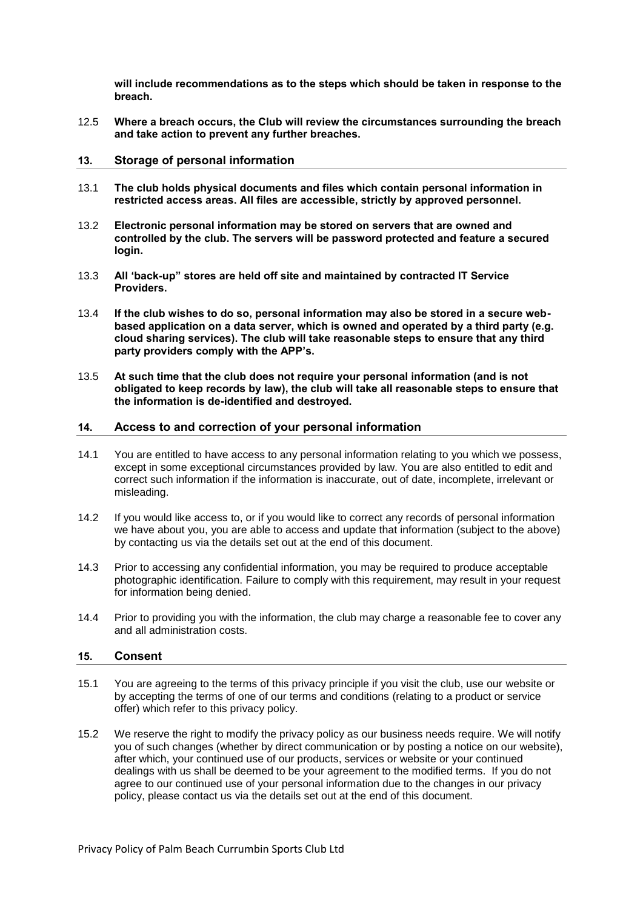**will include recommendations as to the steps which should be taken in response to the breach.** 

12.5 **Where a breach occurs, the Club will review the circumstances surrounding the breach and take action to prevent any further breaches.** 

#### **13. Storage of personal information**

- 13.1 **The club holds physical documents and files which contain personal information in restricted access areas. All files are accessible, strictly by approved personnel.**
- 13.2 **Electronic personal information may be stored on servers that are owned and controlled by the club. The servers will be password protected and feature a secured login.**
- 13.3 **All 'back-up" stores are held off site and maintained by contracted IT Service Providers.**
- 13.4 **If the club wishes to do so, personal information may also be stored in a secure webbased application on a data server, which is owned and operated by a third party (e.g. cloud sharing services). The club will take reasonable steps to ensure that any third party providers comply with the APP's.**
- 13.5 **At such time that the club does not require your personal information (and is not obligated to keep records by law), the club will take all reasonable steps to ensure that the information is de-identified and destroyed.**

#### **14. Access to and correction of your personal information**

- 14.1 You are entitled to have access to any personal information relating to you which we possess, except in some exceptional circumstances provided by law. You are also entitled to edit and correct such information if the information is inaccurate, out of date, incomplete, irrelevant or misleading.
- 14.2 If you would like access to, or if you would like to correct any records of personal information we have about you, you are able to access and update that information (subject to the above) by contacting us via the details set out at the end of this document.
- 14.3 Prior to accessing any confidential information, you may be required to produce acceptable photographic identification. Failure to comply with this requirement, may result in your request for information being denied.
- 14.4 Prior to providing you with the information, the club may charge a reasonable fee to cover any and all administration costs.

#### **15. Consent**

- 15.1 You are agreeing to the terms of this privacy principle if you visit the club, use our website or by accepting the terms of one of our terms and conditions (relating to a product or service offer) which refer to this privacy policy.
- 15.2 We reserve the right to modify the privacy policy as our business needs require. We will notify you of such changes (whether by direct communication or by posting a notice on our website), after which, your continued use of our products, services or website or your continued dealings with us shall be deemed to be your agreement to the modified terms. If you do not agree to our continued use of your personal information due to the changes in our privacy policy, please contact us via the details set out at the end of this document.